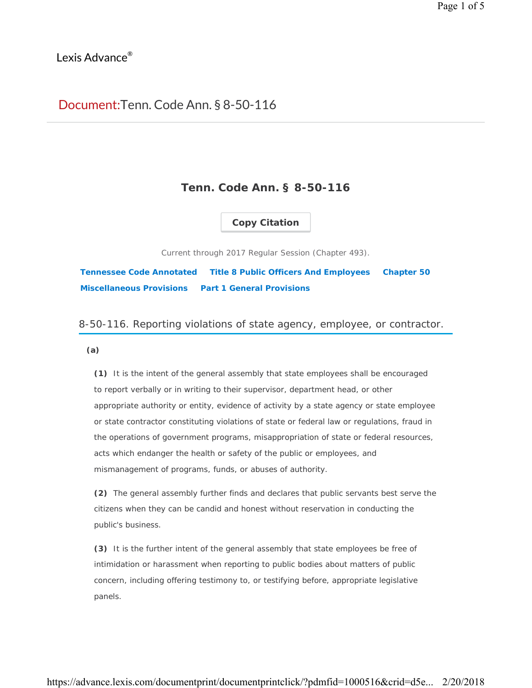## Lexis Advance<sup>®</sup>

# Document: Tenn. Code Ann. § 8-50-116

## **Tenn. Code Ann. § 8-50-116**

### **Copy Citation**

Current through 2017 Regular Session (Chapter 493).

**Tennessee Code Annotated Title 8 Public Officers And Employees Chapter 50 Miscellaneous Provisions Part 1 General Provisions**

### 8-50-116. Reporting violations of state agency, employee, or contractor.

#### **(a)**

**(1)** It is the intent of the general assembly that state employees shall be encouraged to report verbally or in writing to their supervisor, department head, or other appropriate authority or entity, evidence of activity by a state agency or state employee or state contractor constituting violations of state or federal law or regulations, fraud in the operations of government programs, misappropriation of state or federal resources, acts which endanger the health or safety of the public or employees, and mismanagement of programs, funds, or abuses of authority.

**(2)** The general assembly further finds and declares that public servants best serve the citizens when they can be candid and honest without reservation in conducting the public's business.

**(3)** It is the further intent of the general assembly that state employees be free of intimidation or harassment when reporting to public bodies about matters of public concern, including offering testimony to, or testifying before, appropriate legislative panels.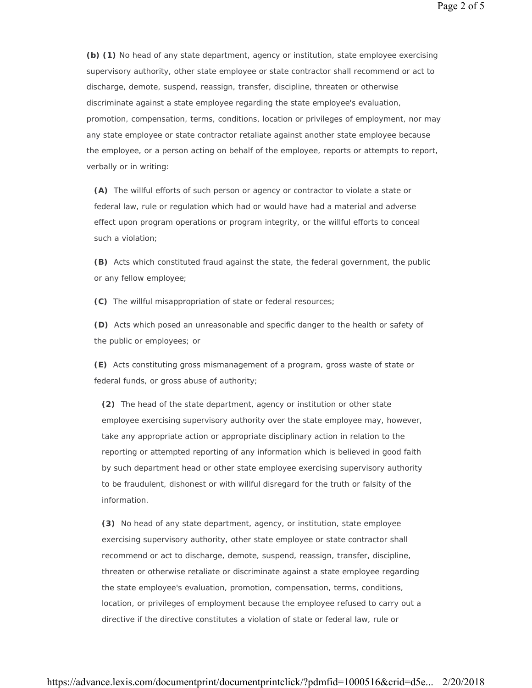**(b) (1)** No head of any state department, agency or institution, state employee exercising supervisory authority, other state employee or state contractor shall recommend or act to discharge, demote, suspend, reassign, transfer, discipline, threaten or otherwise discriminate against a state employee regarding the state employee's evaluation, promotion, compensation, terms, conditions, location or privileges of employment, nor may any state employee or state contractor retaliate against another state employee because the employee, or a person acting on behalf of the employee, reports or attempts to report,

**(A)** The willful efforts of such person or agency or contractor to violate a state or federal law, rule or regulation which had or would have had a material and adverse effect upon program operations or program integrity, or the willful efforts to conceal such a violation;

**(B)** Acts which constituted fraud against the state, the federal government, the public or any fellow employee;

**(C)** The willful misappropriation of state or federal resources;

verbally or in writing:

**(D)** Acts which posed an unreasonable and specific danger to the health or safety of the public or employees; or

**(E)** Acts constituting gross mismanagement of a program, gross waste of state or federal funds, or gross abuse of authority;

**(2)** The head of the state department, agency or institution or other state employee exercising supervisory authority over the state employee may, however, take any appropriate action or appropriate disciplinary action in relation to the reporting or attempted reporting of any information which is believed in good faith by such department head or other state employee exercising supervisory authority to be fraudulent, dishonest or with willful disregard for the truth or falsity of the information.

**(3)** No head of any state department, agency, or institution, state employee exercising supervisory authority, other state employee or state contractor shall recommend or act to discharge, demote, suspend, reassign, transfer, discipline, threaten or otherwise retaliate or discriminate against a state employee regarding the state employee's evaluation, promotion, compensation, terms, conditions, location, or privileges of employment because the employee refused to carry out a directive if the directive constitutes a violation of state or federal law, rule or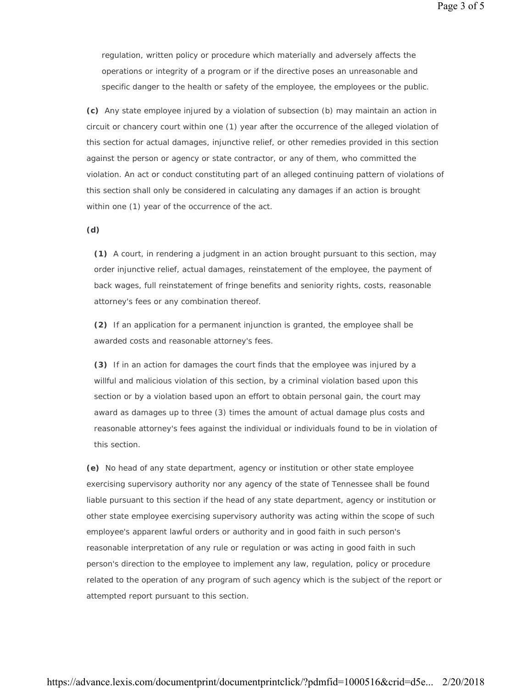regulation, written policy or procedure which materially and adversely affects the operations or integrity of a program or if the directive poses an unreasonable and specific danger to the health or safety of the employee, the employees or the public.

**(c)** Any state employee injured by a violation of subsection (b) may maintain an action in circuit or chancery court within one (1) year after the occurrence of the alleged violation of this section for actual damages, injunctive relief, or other remedies provided in this section against the person or agency or state contractor, or any of them, who committed the violation. An act or conduct constituting part of an alleged continuing pattern of violations of this section shall only be considered in calculating any damages if an action is brought within one (1) year of the occurrence of the act.

#### **(d)**

**(1)** A court, in rendering a judgment in an action brought pursuant to this section, may order injunctive relief, actual damages, reinstatement of the employee, the payment of back wages, full reinstatement of fringe benefits and seniority rights, costs, reasonable attorney's fees or any combination thereof.

**(2)** If an application for a permanent injunction is granted, the employee shall be awarded costs and reasonable attorney's fees.

**(3)** If in an action for damages the court finds that the employee was injured by a willful and malicious violation of this section, by a criminal violation based upon this section or by a violation based upon an effort to obtain personal gain, the court may award as damages up to three (3) times the amount of actual damage plus costs and reasonable attorney's fees against the individual or individuals found to be in violation of this section.

**(e)** No head of any state department, agency or institution or other state employee exercising supervisory authority nor any agency of the state of Tennessee shall be found liable pursuant to this section if the head of any state department, agency or institution or other state employee exercising supervisory authority was acting within the scope of such employee's apparent lawful orders or authority and in good faith in such person's reasonable interpretation of any rule or regulation or was acting in good faith in such person's direction to the employee to implement any law, regulation, policy or procedure related to the operation of any program of such agency which is the subject of the report or attempted report pursuant to this section.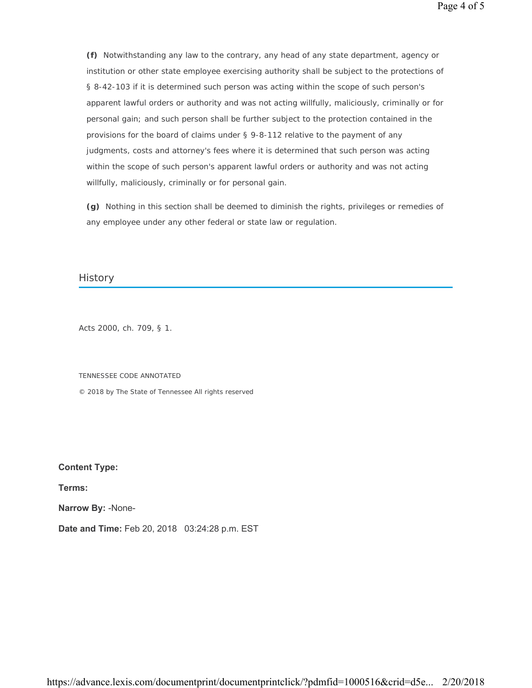**(f)** Notwithstanding any law to the contrary, any head of any state department, agency or institution or other state employee exercising authority shall be subject to the protections of § 8-42-103 if it is determined such person was acting within the scope of such person's apparent lawful orders or authority and was not acting willfully, maliciously, criminally or for personal gain; and such person shall be further subject to the protection contained in the provisions for the board of claims under § 9-8-112 relative to the payment of any judgments, costs and attorney's fees where it is determined that such person was acting within the scope of such person's apparent lawful orders or authority and was not acting willfully, maliciously, criminally or for personal gain.

**(g)** Nothing in this section shall be deemed to diminish the rights, privileges or remedies of any employee under any other federal or state law or regulation.

### **History**

Acts 2000, ch. 709, § 1.

TENNESSEE CODE ANNOTATED

© 2018 by The State of Tennessee All rights reserved

**Content Type:** 

**Terms:** 

**Narrow By:** -None-

**Date and Time:** Feb 20, 2018 03:24:28 p.m. EST